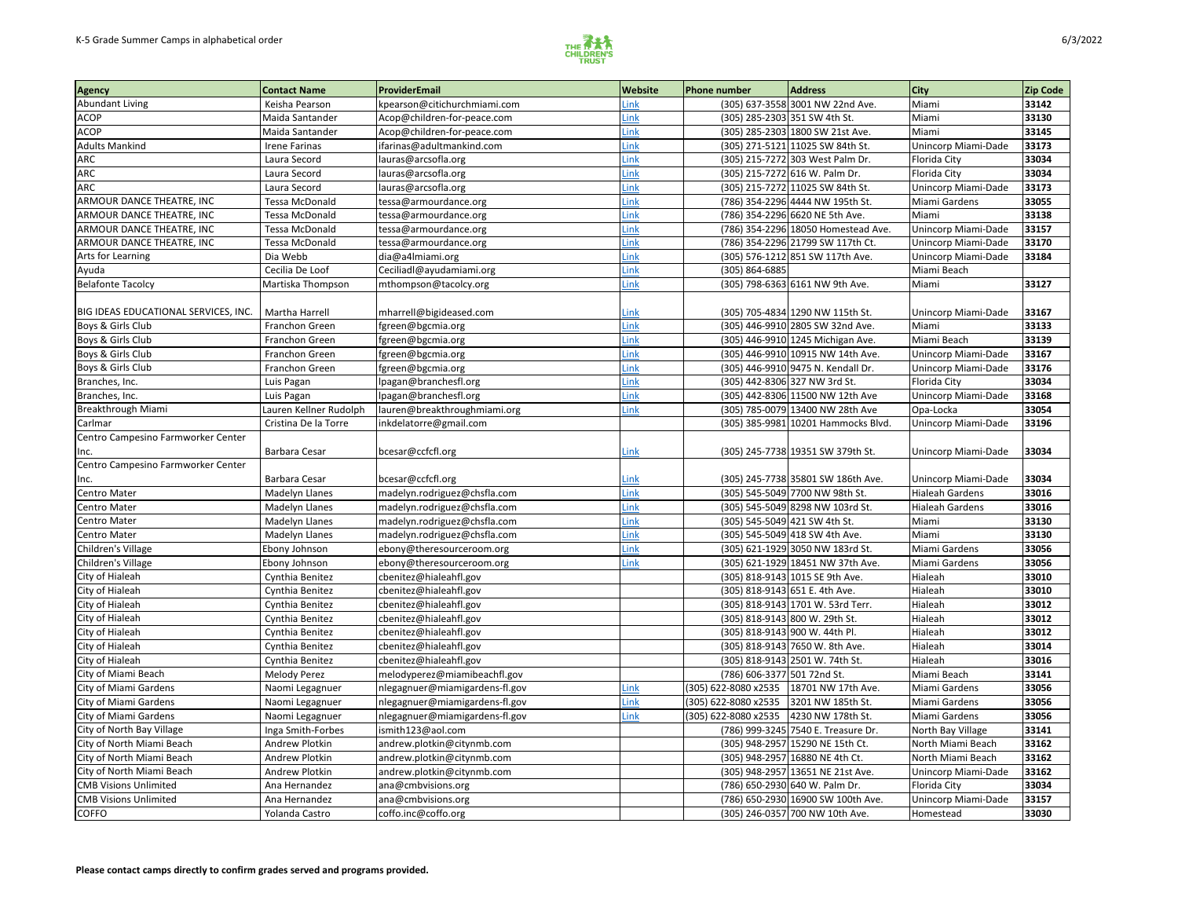

| <b>Agency</b>                        | <b>Contact Name</b>    | ProviderEmail                  | <b>Website</b> | <b>Phone number</b>         | <b>Address</b>                      | <b>City</b>                | <b>Zip Code</b> |
|--------------------------------------|------------------------|--------------------------------|----------------|-----------------------------|-------------------------------------|----------------------------|-----------------|
| Abundant Living                      | Keisha Pearson         | kpearson@citichurchmiami.com   | Link           |                             | (305) 637-3558 3001 NW 22nd Ave.    | Miami                      | 33142           |
| <b>ACOP</b>                          | Maida Santander        | Acop@children-for-peace.com    | <b>Link</b>    |                             | (305) 285-2303 351 SW 4th St.       | Miami                      | 33130           |
| <b>ACOP</b>                          | Maida Santander        | Acop@children-for-peace.com    | Link           |                             | (305) 285-2303 1800 SW 21st Ave.    | Miami                      | 33145           |
| <b>Adults Mankind</b>                | <b>Irene Farinas</b>   | ifarinas@adultmankind.com      | Link           |                             | (305) 271-5121 11025 SW 84th St.    | Unincorp Miami-Dade        | 33173           |
| ARC                                  | Laura Secord           | lauras@arcsofla.org            | <b>Link</b>    |                             | (305) 215-7272 303 West Palm Dr.    | Florida City               | 33034           |
| <b>ARC</b>                           | Laura Secord           | lauras@arcsofla.org            | Link           |                             | (305) 215-7272 616 W. Palm Dr.      | Florida City               | 33034           |
| <b>ARC</b>                           | Laura Secord           | lauras@arcsofla.org            | Link           |                             | (305) 215-7272 11025 SW 84th St.    | Unincorp Miami-Dade        | 33173           |
| <b>ARMOUR DANCE THEATRE, INC</b>     | Tessa McDonald         | tessa@armourdance.org          | <b>ink</b>     |                             | (786) 354-2296 4444 NW 195th St.    | Miami Gardens              | 33055           |
| <b>ARMOUR DANCE THEATRE, INC</b>     | Tessa McDonald         | tessa@armourdance.org          | Link           |                             | (786) 354-2296 6620 NE 5th Ave.     | Miami                      | 33138           |
| ARMOUR DANCE THEATRE, INC            | Tessa McDonald         | tessa@armourdance.org          | <b>Link</b>    |                             | (786) 354-2296 18050 Homestead Ave. | Unincorp Miami-Dade        | 33157           |
| <b>ARMOUR DANCE THEATRE, INC</b>     | Tessa McDonald         | tessa@armourdance.org          | Link           |                             | (786) 354-2296 21799 SW 117th Ct.   | Unincorp Miami-Dade        | 33170           |
| Arts for Learning                    | Dia Webb               | dia@a4lmiami.org               | <b>ink</b>     |                             | (305) 576-1212 851 SW 117th Ave.    | Unincorp Miami-Dade        | 33184           |
| Ayuda                                | Cecilia De Loof        | Ceciliadl@ayudamiami.org       | <b>Link</b>    | (305) 864-6885              |                                     | Miami Beach                |                 |
| <b>Belafonte Tacolcy</b>             | Martiska Thompson      | mthompson@tacolcy.org          | Link           |                             | (305) 798-6363 6161 NW 9th Ave.     | Miami                      | 33127           |
|                                      |                        |                                |                |                             |                                     |                            |                 |
| BIG IDEAS EDUCATIONAL SERVICES, INC. | Martha Harrell         | mharrell@bigideased.com        | Link           |                             | (305) 705-4834 1290 NW 115th St.    | Unincorp Miami-Dade        | 33167           |
| Boys & Girls Club                    | Franchon Green         | fgreen@bgcmia.org              | <b>Link</b>    |                             | (305) 446-9910 2805 SW 32nd Ave.    | Miami                      | 33133           |
| Boys & Girls Club                    | Franchon Green         | fgreen@bgcmia.org              | Link           |                             | (305) 446-9910 1245 Michigan Ave.   | Miami Beach                | 33139           |
| Boys & Girls Club                    | Franchon Green         | fgreen@bgcmia.org              | <b>Link</b>    |                             | (305) 446-9910 10915 NW 14th Ave.   | Unincorp Miami-Dade        | 33167           |
| Boys & Girls Club                    | Franchon Green         | fgreen@bgcmia.org              | <b>Link</b>    |                             | (305) 446-9910 9475 N. Kendall Dr.  | Unincorp Miami-Dade        | 33176           |
| Branches, Inc.                       | Luis Pagan             | lpagan@branchesfl.org          | Link           |                             | (305) 442-8306 327 NW 3rd St.       | Florida City               | 33034           |
| Branches, Inc.                       | Luis Pagan             | lpagan@branchesfl.org          | <b>ink</b>     |                             | (305) 442-8306 11500 NW 12th Ave    | <b>Unincorp Miami-Dade</b> | 33168           |
| Breakthrough Miami                   | Lauren Kellner Rudolph | lauren@breakthroughmiami.org   | Link           |                             | (305) 785-0079 13400 NW 28th Ave    | Opa-Locka                  | 33054           |
| Carlmar                              | Cristina De la Torre   | inkdelatorre@gmail.com         |                |                             | (305) 385-9981 10201 Hammocks Blvd. | Unincorp Miami-Dade        | 33196           |
| Centro Campesino Farmworker Center   |                        |                                |                |                             |                                     |                            |                 |
| Ilnc.                                | <b>Barbara Cesar</b>   | bcesar@ccfcfl.org              | Link           |                             | (305) 245-7738 19351 SW 379th St.   | Unincorp Miami-Dade        | 33034           |
| Centro Campesino Farmworker Center   |                        |                                |                |                             |                                     |                            |                 |
| Inc.                                 | <b>Barbara Cesar</b>   | bcesar@ccfcfl.org              | Link           |                             | (305) 245-7738 35801 SW 186th Ave.  | Unincorp Miami-Dade        | 33034           |
| Centro Mater                         | Madelyn Llanes         | madelyn.rodriguez@chsfla.com   | .ink           |                             | (305) 545-5049 7700 NW 98th St.     | <b>Hialeah Gardens</b>     | 33016           |
| Centro Mater                         | <b>Madelyn Llanes</b>  | madelyn.rodriguez@chsfla.com   | Link           |                             | (305) 545-5049 8298 NW 103rd St.    | <b>Hialeah Gardens</b>     | 33016           |
| Centro Mater                         | <b>Madelyn Llanes</b>  | madelyn.rodriguez@chsfla.com   | Link           |                             | (305) 545-5049 421 SW 4th St.       | Miami                      | 33130           |
| Centro Mater                         | <b>Madelyn Llanes</b>  | madelyn.rodriguez@chsfla.com   | Link           |                             | (305) 545-5049 418 SW 4th Ave.      | Miami                      | 33130           |
| Children's Village                   | Ebony Johnson          | ebony@theresourceroom.org      | Link           |                             | (305) 621-1929 3050 NW 183rd St.    | Miami Gardens              | 33056           |
| Children's Village                   | Ebony Johnson          | ebony@theresourceroom.org      | Link           |                             | (305) 621-1929 18451 NW 37th Ave.   | Miami Gardens              | 33056           |
| City of Hialeah                      | Cynthia Benitez        | cbenitez@hialeahfl.gov         |                |                             | (305) 818-9143 1015 SE 9th Ave.     | Hialeah                    | 33010           |
| City of Hialeah                      | Cynthia Benitez        | cbenitez@hialeahfl.gov         |                |                             | (305) 818-9143 651 E. 4th Ave.      | Hialeah                    | 33010           |
| City of Hialeah                      | Cynthia Benitez        | cbenitez@hialeahfl.gov         |                |                             | (305) 818-9143 1701 W. 53rd Terr.   | Hialeah                    | 33012           |
| City of Hialeah                      | Cynthia Benitez        | cbenitez@hialeahfl.gov         |                |                             | (305) 818-9143 800 W. 29th St.      | Hialeah                    | 33012           |
| City of Hialeah                      | Cynthia Benitez        | cbenitez@hialeahfl.gov         |                |                             | (305) 818-9143 900 W. 44th Pl.      | Hialeah                    | 33012           |
| City of Hialeah                      | Cynthia Benitez        | cbenitez@hialeahfl.gov         |                |                             | (305) 818-9143 7650 W. 8th Ave.     | Hialeah                    | 33014           |
| City of Hialeah                      | Cynthia Benitez        | cbenitez@hialeahfl.gov         |                |                             | (305) 818-9143 2501 W. 74th St.     | Hialeah                    | 33016           |
| City of Miami Beach                  | Melody Perez           | melodyperez@miamibeachfl.gov   |                | (786) 606-3377 501 72nd St. |                                     | Miami Beach                | 33141           |
| City of Miami Gardens                | Naomi Legagnuer        | nlegagnuer@miamigardens-fl.gov | Link           | (305) 622-8080 x2535        | 18701 NW 17th Ave.                  | Miami Gardens              | 33056           |
| City of Miami Gardens                | Naomi Legagnuer        | nlegagnuer@miamigardens-fl.gov | Link           | (305) 622-8080 x2535        | 3201 NW 185th St.                   | Miami Gardens              | 33056           |
| City of Miami Gardens                | Naomi Legagnuer        | nlegagnuer@miamigardens-fl.gov | <u>Link</u>    | (305) 622-8080 x2535        | 4230 NW 178th St.                   | Miami Gardens              | 33056           |
| City of North Bay Village            | Inga Smith-Forbes      | ismith123@aol.com              |                |                             | (786) 999-3245 7540 E. Treasure Dr. | North Bay Village          | 33141           |
| City of North Miami Beach            | Andrew Plotkin         | andrew.plotkin@citynmb.com     |                |                             | (305) 948-2957 15290 NE 15th Ct.    | North Miami Beach          | 33162           |
| City of North Miami Beach            | Andrew Plotkin         | andrew.plotkin@citynmb.com     |                |                             | (305) 948-2957 16880 NE 4th Ct.     | North Miami Beach          | 33162           |
| City of North Miami Beach            | Andrew Plotkin         | andrew.plotkin@citynmb.com     |                |                             | (305) 948-2957 13651 NE 21st Ave.   | Unincorp Miami-Dade        | 33162           |
| <b>CMB Visions Unlimited</b>         | Ana Hernandez          | ana@cmbvisions.org             |                |                             | (786) 650-2930 640 W. Palm Dr.      | Florida City               | 33034           |
| <b>CMB Visions Unlimited</b>         | Ana Hernandez          | ana@cmbvisions.org             |                |                             | (786) 650-2930 16900 SW 100th Ave.  | Unincorp Miami-Dade        | 33157           |
| <b>COFFO</b>                         | Yolanda Castro         | coffo.inc@coffo.org            |                |                             | (305) 246-0357 700 NW 10th Ave.     | Homestead                  | 33030           |
|                                      |                        |                                |                |                             |                                     |                            |                 |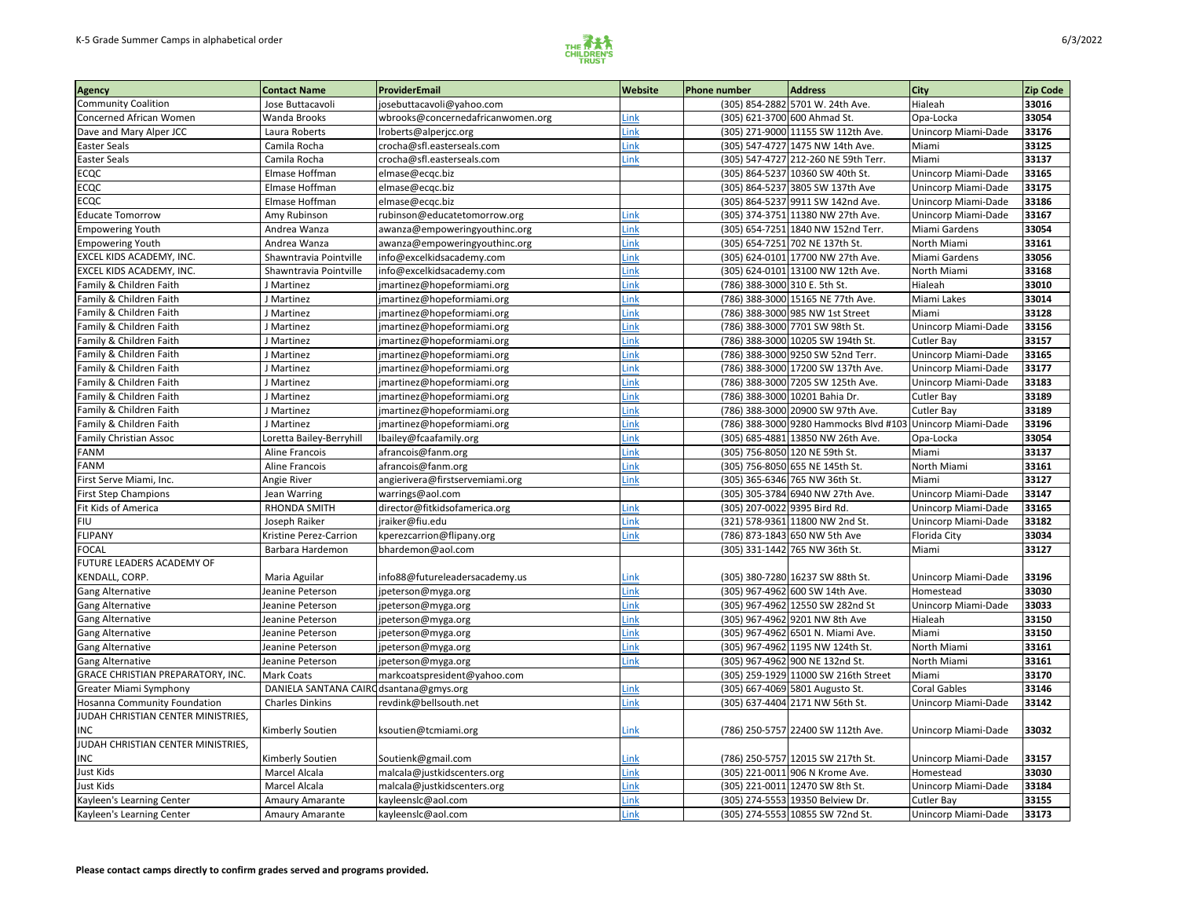

| <b>Address</b><br><b>Website</b><br><b>Contact Name</b><br>ProviderEmail<br>Phone number<br>Agency                                    | <b>City</b>                                                         | Zip Code |
|---------------------------------------------------------------------------------------------------------------------------------------|---------------------------------------------------------------------|----------|
| (305) 854-2882 5701 W. 24th Ave.<br><b>Community Coalition</b><br>josebuttacavoli@yahoo.com<br>Jose Buttacavoli                       | 33016<br>Hialeah                                                    |          |
| (305) 621-3700 600 Ahmad St.<br><b>Concerned African Women</b><br>Wanda Brooks<br>wbrooks@concernedafricanwomen.org<br>Link           | 33054<br>Opa-Locka                                                  |          |
| Dave and Mary Alper JCC<br>(305) 271-9000 11155 SW 112th Ave.<br>Link<br>Laura Roberts<br>Iroberts@alperjcc.org                       | Unincorp Miami-Dade<br>33176                                        |          |
| <b>Easter Seals</b><br>crocha@sfl.easterseals.com<br>Link<br>(305) 547-4727 1475 NW 14th Ave.<br>Camila Rocha                         | 33125<br>Miami                                                      |          |
| <b>Easter Seals</b><br>(305) 547-4727 212-260 NE 59th Terr.<br>Camila Rocha<br>crocha@sfl.easterseals.com<br>Link                     | 33137<br>Miami                                                      |          |
| <b>ECQC</b><br>Elmase Hoffman<br>elmase@ecqc.biz<br>(305) 864-5237 10360 SW 40th St.                                                  | 33165<br>Unincorp Miami-Dade                                        |          |
| <b>ECQC</b><br>Elmase Hoffman<br>elmase@ecqc.biz<br>(305) 864-5237 3805 SW 137th Ave                                                  | Unincorp Miami-Dade<br>33175                                        |          |
| <b>ECQC</b><br>Elmase Hoffman<br>(305) 864-5237 9911 SW 142nd Ave.<br>elmase@ecqc.biz                                                 | Unincorp Miami-Dade<br>33186                                        |          |
| <b>Educate Tomorrow</b><br>(305) 374-3751 11380 NW 27th Ave.<br>rubinson@educatetomorrow.org<br>Link<br>Amy Rubinson                  | 33167<br>Unincorp Miami-Dade                                        |          |
| (305) 654-7251 1840 NW 152nd Terr.<br><b>Empowering Youth</b><br>Link<br>Andrea Wanza<br>awanza@empoweringyouthinc.org                | 33054<br>Miami Gardens                                              |          |
| (305) 654-7251 702 NE 137th St.<br>awanza@empoweringyouthinc.org<br><b>Empowering Youth</b><br>Andrea Wanza<br>Link                   | North Miami<br>33161                                                |          |
| EXCEL KIDS ACADEMY, INC.<br>Link<br>Shawntravia Pointville<br>info@excelkidsacademy.com<br>(305) 624-0101 17700 NW 27th Ave.          | 33056<br>Miami Gardens                                              |          |
| EXCEL KIDS ACADEMY, INC.<br>(305) 624-0101 13100 NW 12th Ave.<br>Shawntravia Pointville<br>info@excelkidsacademy.com<br>Link          | North Miami<br>33168                                                |          |
| Family & Children Faith<br>Link<br>(786) 388-3000 310 E. 5th St.<br>J Martinez<br>jmartinez@hopeformiami.org                          | Hialeah<br>33010                                                    |          |
| Family & Children Faith<br>(786) 388-3000 15165 NE 77th Ave.<br>jmartinez@hopeformiami.org<br>Link<br>J Martinez                      | 33014<br>Miami Lakes                                                |          |
| Family & Children Faith<br>(786) 388-3000 985 NW 1st Street<br>jmartinez@hopeformiami.org<br>Link<br>J Martinez                       | 33128<br>Miami                                                      |          |
| Family & Children Faith<br>(786) 388-3000 7701 SW 98th St.<br>jmartinez@hopeformiami.org<br>Link<br>J Martinez                        | Unincorp Miami-Dade<br>33156                                        |          |
| Family & Children Faith<br>Link<br>(786) 388-3000 10205 SW 194th St.<br>J Martinez<br>jmartinez@hopeformiami.org                      | 33157<br><b>Cutler Bay</b>                                          |          |
| Family & Children Faith<br>Link<br>(786) 388-3000 9250 SW 52nd Terr.<br>J Martinez<br>jmartinez@hopeformiami.org                      | 33165<br>Unincorp Miami-Dade                                        |          |
| Family & Children Faith<br>(786) 388-3000 17200 SW 137th Ave.<br>jmartinez@hopeformiami.org<br>Link<br>J Martinez                     | 33177<br>Unincorp Miami-Dade                                        |          |
| Family & Children Faith<br>(786) 388-3000 7205 SW 125th Ave.<br>J Martinez<br>jmartinez@hopeformiami.org<br>Link                      | 33183<br>Unincorp Miami-Dade                                        |          |
| Family & Children Faith<br>(786) 388-3000 10201 Bahia Dr.<br>jmartinez@hopeformiami.org<br>Link<br>J Martinez                         | <b>Cutler Bay</b><br>33189                                          |          |
| Family & Children Faith<br>(786) 388-3000 20900 SW 97th Ave.<br>jmartinez@hopeformiami.org<br>Link<br>J Martinez                      | 33189<br><b>Cutler Bay</b>                                          |          |
| Link<br>Family & Children Faith<br>J Martinez<br>jmartinez@hopeformiami.org                                                           | (786) 388-3000 9280 Hammocks Blvd #103 Unincorp Miami-Dade<br>33196 |          |
| <b>Family Christian Assoc</b><br>(305) 685-4881 13850 NW 26th Ave.<br>oretta Bailey-Berryhill<br>lbailey@fcaafamily.org<br>Link       | 33054<br>Opa-Locka                                                  |          |
| afrancois@fanm.org<br>(305) 756-8050 120 NE 59th St.<br><b>FANM</b><br>Aline Francois<br>Link                                         | Miami<br>33137                                                      |          |
| <b>FANM</b><br>(305) 756-8050 655 NE 145th St.<br>Aline Francois<br>afrancois@fanm.org<br>Link                                        | 33161<br>North Miami                                                |          |
| (305) 365-6346 765 NW 36th St.<br>First Serve Miami, Inc.<br>angierivera@firstservemiami.org<br>Link<br>Angie River                   | Miami<br>33127                                                      |          |
| (305) 305-3784 6940 NW 27th Ave.<br>Jean Warring<br><b>First Step Champions</b><br>warrings@aol.com                                   | 33147<br>Unincorp Miami-Dade                                        |          |
| (305) 207-0022 9395 Bird Rd.<br><b>Fit Kids of America</b><br>director@fitkidsofamerica.org<br>RHONDA SMITH<br>Link                   | 33165<br>Unincorp Miami-Dade                                        |          |
| (321) 578-9361 11800 NW 2nd St.<br><b>FIU</b><br>jraiker@fiu.edu<br>Joseph Raiker<br>Link                                             | 33182<br>Unincorp Miami-Dade                                        |          |
| FLIPANY<br>Kristine Perez-Carrion<br>kperezcarrion@flipany.org<br>(786) 873-1843 650 NW 5th Ave<br><b>Link</b>                        | 33034<br>Florida City                                               |          |
| (305) 331-1442 765 NW 36th St.<br><b>FOCAL</b><br>Barbara Hardemon<br>bhardemon@aol.com                                               | 33127<br>Miami                                                      |          |
| FUTURE LEADERS ACADEMY OF                                                                                                             |                                                                     |          |
| KENDALL, CORP.<br>(305) 380-7280 16237 SW 88th St.<br>Maria Aguilar<br>info88@futureleadersacademy.us<br>Link                         | 33196<br>Unincorp Miami-Dade                                        |          |
| (305) 967-4962 600 SW 14th Ave.<br><b>Gang Alternative</b><br>Jeanine Peterson<br>jpeterson@myga.org<br>Link                          | 33030<br>Homestead                                                  |          |
| <b>Gang Alternative</b><br>(305) 967-4962 12550 SW 282nd St<br>Link<br>Jeanine Peterson<br>jpeterson@myga.org                         | Unincorp Miami-Dade<br>33033                                        |          |
| (305) 967-4962 9201 NW 8th Ave<br><b>Gang Alternative</b><br>Link<br>Jeanine Peterson<br>jpeterson@myga.org                           | Hialeah<br>33150                                                    |          |
| (305) 967-4962 6501 N. Miami Ave.<br>Gang Alternative<br>Link<br>Jeanine Peterson<br>jpeterson@myga.org                               | 33150<br>Miami                                                      |          |
| <b>Gang Alternative</b><br>(305) 967-4962 1195 NW 124th St.<br>Link<br>Jeanine Peterson<br>jpeterson@myga.org                         | North Miami<br>33161                                                |          |
| (305) 967-4962 900 NE 132nd St.<br><b>Gang Alternative</b><br>Jeanine Peterson<br>jpeterson@myga.org<br>Link                          | North Miami<br>33161                                                |          |
| <b>GRACE CHRISTIAN PREPARATORY, INC.</b><br>(305) 259-1929 11000 SW 216th Street<br><b>Mark Coats</b><br>markcoatspresident@yahoo.com | 33170<br>Miami                                                      |          |
| DANIELA SANTANA CAIR<br>(305) 667-4069 5801 Augusto St.<br><b>Greater Miami Symphony</b><br>ddsantana@gmys.org<br>Link                | <b>Coral Gables</b><br>33146                                        |          |
| Hosanna Community Foundation<br>Link<br>(305) 637-4404 2171 NW 56th St.<br><b>Charles Dinkins</b><br>revdink@bellsouth.net            | 33142<br>Unincorp Miami-Dade                                        |          |
| JUDAH CHRISTIAN CENTER MINISTRIES,                                                                                                    |                                                                     |          |
| (786) 250-5757 22400 SW 112th Ave.<br><b>Kimberly Soutien</b><br>ksoutien@tcmiami.org<br>Link<br>INC                                  | 33032<br>Unincorp Miami-Dade                                        |          |
| JUDAH CHRISTIAN CENTER MINISTRIES,                                                                                                    |                                                                     |          |
| <b>Kimberly Soutien</b><br>Soutienk@gmail.com<br>(786) 250-5757 12015 SW 217th St.<br>INC<br>Link                                     | 33157<br>Unincorp Miami-Dade                                        |          |
| Just Kids<br>(305) 221-0011 906 N Krome Ave.<br>Marcel Alcala<br>malcala@justkidscenters.org<br>Link                                  | 33030<br>Homestead                                                  |          |
| Just Kids<br>Marcel Alcala<br>(305) 221-0011 12470 SW 8th St.<br>malcala@justkidscenters.org<br>Link                                  | 33184<br>Unincorp Miami-Dade                                        |          |
| Kayleen's Learning Center<br>(305) 274-5553 19350 Belview Dr.<br>Amaury Amarante<br>kayleenslc@aol.com<br>Link                        | 33155<br><b>Cutler Bay</b>                                          |          |
| Kayleen's Learning Center<br>kayleenslc@aol.com<br><b>Link</b><br>(305) 274-5553 10855 SW 72nd St.<br><b>Amaury Amarante</b>          | Unincorp Miami-Dade<br>33173                                        |          |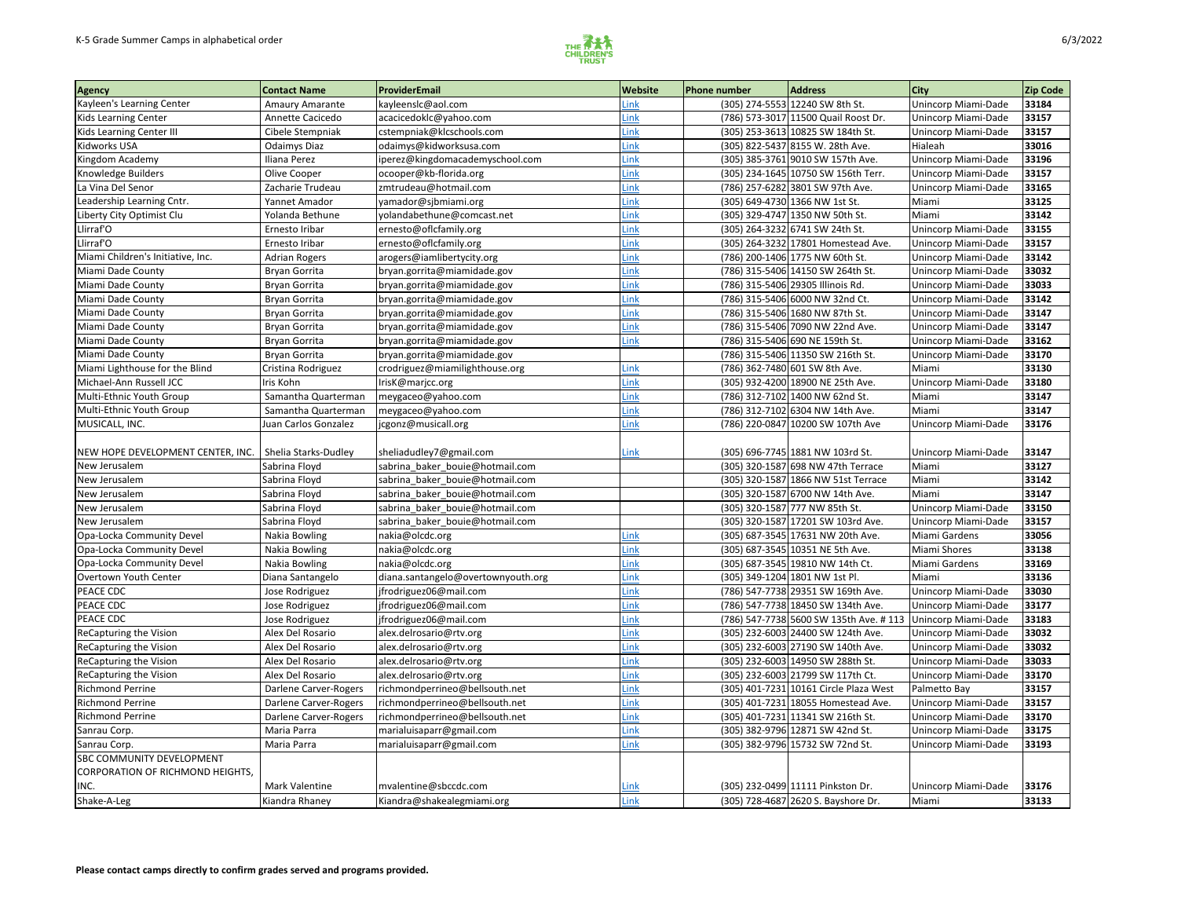

| <b>Agency</b>                     | <b>Contact Name</b>   | ProviderEmail                      | <b>Website</b> | Phone number | <b>Address</b>                         | <b>City</b>                | <b>Zip Code</b> |
|-----------------------------------|-----------------------|------------------------------------|----------------|--------------|----------------------------------------|----------------------------|-----------------|
| Kayleen's Learning Center         | Amaury Amarante       | kayleenslc@aol.com                 | Link           |              | (305) 274-5553 12240 SW 8th St.        | Unincorp Miami-Dade        | 33184           |
| Kids Learning Center              | Annette Cacicedo      | acacicedoklc@yahoo.com             | Link           |              | (786) 573-3017 11500 Quail Roost Dr.   | Unincorp Miami-Dade        | 33157           |
| Kids Learning Center III          | Cibele Stempniak      | cstempniak@klcschools.com          | Link           |              | (305) 253-3613 10825 SW 184th St.      | Unincorp Miami-Dade        | 33157           |
| Kidworks USA                      | <b>Odaimys Diaz</b>   | odaimys@kidworksusa.com            | Link           |              | (305) 822-5437 8155 W. 28th Ave.       | Hialeah                    | 33016           |
| Kingdom Academy                   | Iliana Perez          | iperez@kingdomacademyschool.com    | Link           |              | (305) 385-3761 9010 SW 157th Ave.      | Unincorp Miami-Dade        | 33196           |
| Knowledge Builders                | Olive Cooper          | ocooper@kb-florida.org             | Link           |              | (305) 234-1645 10750 SW 156th Terr.    | Unincorp Miami-Dade        | 33157           |
| La Vina Del Senor                 | Zacharie Trudeau      | zmtrudeau@hotmail.com              | Link           |              | (786) 257-6282 3801 SW 97th Ave.       | Unincorp Miami-Dade        | 33165           |
| Leadership Learning Cntr.         | Yannet Amador         | yamador@sjbmiami.org               | Link           |              | (305) 649-4730 1366 NW 1st St.         | Miami                      | 33125           |
| Liberty City Optimist Clu         | Yolanda Bethune       | yolandabethune@comcast.net         | Link           |              | (305) 329-4747 1350 NW 50th St.        | Miami                      | 33142           |
| Llirraf'O                         | Ernesto Iribar        | ernesto@oflcfamily.org             | Link           |              | (305) 264-3232 6741 SW 24th St.        | Unincorp Miami-Dade        | 33155           |
| Llirraf'O                         | Ernesto Iribar        | ernesto@oflcfamily.org             | Link           |              | (305) 264-3232 17801 Homestead Ave.    | Unincorp Miami-Dade        | 33157           |
| Miami Children's Initiative, Inc. | <b>Adrian Rogers</b>  | arogers@iamlibertycity.org         | Link           |              | (786) 200-1406 1775 NW 60th St.        | Unincorp Miami-Dade        | 33142           |
| Miami Dade County                 | <b>Bryan Gorrita</b>  | bryan.gorrita@miamidade.gov        | Link           |              | (786) 315-5406 14150 SW 264th St.      | Unincorp Miami-Dade        | 33032           |
| Miami Dade County                 | Bryan Gorrita         | bryan.gorrita@miamidade.gov        | Link           |              | (786) 315-5406 29305 Illinois Rd.      | Unincorp Miami-Dade        | 33033           |
| Miami Dade County                 | <b>Bryan Gorrita</b>  | bryan.gorrita@miamidade.gov        | Link           |              | (786) 315-5406 6000 NW 32nd Ct.        | Unincorp Miami-Dade        | 33142           |
| Miami Dade County                 | <b>Bryan Gorrita</b>  | bryan.gorrita@miamidade.gov        | Link           |              | (786) 315-5406 1680 NW 87th St.        | Unincorp Miami-Dade        | 33147           |
| Miami Dade County                 | <b>Bryan Gorrita</b>  | bryan.gorrita@miamidade.gov        | Link           |              | (786) 315-5406 7090 NW 22nd Ave.       | Unincorp Miami-Dade        | 33147           |
| Miami Dade County                 | <b>Bryan Gorrita</b>  | bryan.gorrita@miamidade.gov        | Link           |              | (786) 315-5406 690 NE 159th St.        | Unincorp Miami-Dade        | 33162           |
| Miami Dade County                 | Bryan Gorrita         | bryan.gorrita@miamidade.gov        |                |              | (786) 315-5406 11350 SW 216th St.      | Unincorp Miami-Dade        | 33170           |
| Miami Lighthouse for the Blind    | Cristina Rodriguez    | crodriguez@miamilighthouse.org     | Link           |              | (786) 362-7480 601 SW 8th Ave.         | Miami                      | 33130           |
| Michael-Ann Russell JCC           | Iris Kohn             | IrisK@marjcc.org                   | Link           |              | (305) 932-4200 18900 NE 25th Ave.      | Unincorp Miami-Dade        | 33180           |
| Multi-Ethnic Youth Group          | Samantha Quarterman   | meygaceo@yahoo.com                 | Link           |              | (786) 312-7102 1400 NW 62nd St.        | Miami                      | 33147           |
| Multi-Ethnic Youth Group          | Samantha Quarterman   | meygaceo@yahoo.com                 | Link           |              | (786) 312-7102 6304 NW 14th Ave.       | Miami                      | 33147           |
| MUSICALL, INC.                    | Juan Carlos Gonzalez  | jcgonz@musicall.org                | Link           |              | (786) 220-0847 10200 SW 107th Ave      | Unincorp Miami-Dade        | 33176           |
|                                   |                       |                                    |                |              |                                        |                            |                 |
| NEW HOPE DEVELOPMENT CENTER, INC. | Shelia Starks-Dudley  | sheliadudley7@gmail.com            | Link           |              | (305) 696-7745 1881 NW 103rd St.       | Unincorp Miami-Dade        | 33147           |
| New Jerusalem                     | Sabrina Floyd         | sabrina_baker_bouie@hotmail.com    |                |              | (305) 320-1587 698 NW 47th Terrace     | Miami                      | 33127           |
| New Jerusalem                     | Sabrina Floyd         | sabrina_baker_bouie@hotmail.com    |                |              | (305) 320-1587 1866 NW 51st Terrace    | Miami                      | 33142           |
| New Jerusalem                     | Sabrina Floyd         | sabrina_baker_bouie@hotmail.com    |                |              | (305) 320-1587 6700 NW 14th Ave.       | Miami                      | 33147           |
| New Jerusalem                     | Sabrina Floyd         | sabrina baker bouie@hotmail.com    |                |              | (305) 320-1587 777 NW 85th St.         | Unincorp Miami-Dade        | 33150           |
| New Jerusalem                     | Sabrina Floyd         | sabrina baker bouie@hotmail.com    |                |              | (305) 320-1587 17201 SW 103rd Ave.     | Unincorp Miami-Dade        | 33157           |
| Opa-Locka Community Devel         | Nakia Bowling         | nakia@olcdc.org                    | Link           |              | (305) 687-3545 17631 NW 20th Ave.      | Miami Gardens              | 33056           |
| Opa-Locka Community Devel         | <b>Nakia Bowling</b>  | nakia@olcdc.org                    | Link           |              | (305) 687-3545 10351 NE 5th Ave.       | Miami Shores               | 33138           |
| Opa-Locka Community Devel         | Nakia Bowling         | nakia@olcdc.org                    | Link           |              | (305) 687-3545 19810 NW 14th Ct.       | Miami Gardens              | 33169           |
| Overtown Youth Center             | Diana Santangelo      | diana.santangelo@overtownyouth.org | Link           |              | (305) 349-1204 1801 NW 1st Pl.         | Miami                      | 33136           |
| PEACE CDC                         | Jose Rodriguez        | jfrodriguez06@mail.com             | Link           |              | (786) 547-7738 29351 SW 169th Ave.     | Unincorp Miami-Dade        | 33030           |
| PEACE CDC                         | Jose Rodriguez        | frodriguez06@mail.com              | Link           |              | (786) 547-7738 18450 SW 134th Ave.     | Unincorp Miami-Dade        | 33177           |
| PEACE CDC                         | Jose Rodriguez        | frodriguez06@mail.com              | Link           |              | (786) 547-7738 5600 SW 135th Ave. #113 | Unincorp Miami-Dade        | 33183           |
| <b>ReCapturing the Vision</b>     | Alex Del Rosario      | alex.delrosario@rtv.org            | Link           |              | (305) 232-6003 24400 SW 124th Ave.     | <b>Unincorp Miami-Dade</b> | 33032           |
| <b>ReCapturing the Vision</b>     | Alex Del Rosario      | alex.delrosario@rtv.org            | Link           |              | (305) 232-6003 27190 SW 140th Ave.     | Unincorp Miami-Dade        | 33032           |
| <b>ReCapturing the Vision</b>     | Alex Del Rosario      | alex.delrosario@rtv.org            | Link           |              | (305) 232-6003 14950 SW 288th St.      | Unincorp Miami-Dade        | 33033           |
| <b>ReCapturing the Vision</b>     | Alex Del Rosario      | alex.delrosario@rtv.org            | Link           |              | (305) 232-6003 21799 SW 117th Ct.      | Unincorp Miami-Dade        | 33170           |
| <b>Richmond Perrine</b>           | Darlene Carver-Rogers | richmondperrineo@bellsouth.net     | Link           |              | (305) 401-7231 10161 Circle Plaza West | Palmetto Bay               | 33157           |
| <b>Richmond Perrine</b>           | Darlene Carver-Rogers | richmondperrineo@bellsouth.net     | Link           |              | (305) 401-7231 18055 Homestead Ave.    | Unincorp Miami-Dade        | 33157           |
| Richmond Perrine                  | Darlene Carver-Rogers | richmondperrineo@bellsouth.net     | Link           |              | (305) 401-7231 11341 SW 216th St.      | Unincorp Miami-Dade        | 33170           |
| Sanrau Corp.                      | Maria Parra           | marialuisaparr@gmail.com           | Link           |              | (305) 382-9796 12871 SW 42nd St.       | Unincorp Miami-Dade        | 33175           |
| Sanrau Corp.                      | Maria Parra           | marialuisaparr@gmail.com           | Link           |              | (305) 382-9796 15732 SW 72nd St.       | Unincorp Miami-Dade        | 33193           |
| <b>SBC COMMUNITY DEVELOPMENT</b>  |                       |                                    |                |              |                                        |                            |                 |
| CORPORATION OF RICHMOND HEIGHTS,  |                       |                                    |                |              |                                        |                            |                 |
| INC.                              | Mark Valentine        | mvalentine@sbccdc.com              | Link           |              | (305) 232-0499 11111 Pinkston Dr.      | Unincorp Miami-Dade        | 33176           |
| Shake-A-Leg                       | Kiandra Rhaney        | Kiandra@shakealegmiami.org         | <b>Link</b>    |              | (305) 728-4687 2620 S. Bayshore Dr.    | Miami                      | 33133           |